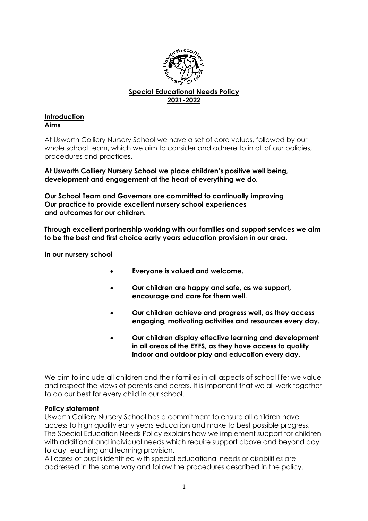

# **Special Educational Needs Policy 2021-2022**

#### **Introduction Aims**

At Usworth Colliery Nursery School we have a set of core values, followed by our whole school team, which we aim to consider and adhere to in all of our policies, procedures and practices.

## **At Usworth Colliery Nursery School we place children's positive well being, development and engagement at the heart of everything we do.**

**Our School Team and Governors are committed to continually improving Our practice to provide excellent nursery school experiences and outcomes for our children.**

**Through excellent partnership working with our families and support services we aim to be the best and first choice early years education provision in our area.**

**In our nursery school**

- **Everyone is valued and welcome.**
- **Our children are happy and safe, as we support, encourage and care for them well.**
- **Our children achieve and progress well, as they access engaging, motivating activities and resources every day.**
- **Our children display effective learning and development in all areas of the EYFS, as they have access to quality indoor and outdoor play and education every day.**

We aim to include all children and their families in all aspects of school life; we value and respect the views of parents and carers. It is important that we all work together to do our best for every child in our school.

## **Policy statement**

Usworth Colliery Nursery School has a commitment to ensure all children have access to high quality early years education and make to best possible progress. The Special Education Needs Policy explains how we implement support for children with additional and individual needs which require support above and beyond day to day teaching and learning provision.

All cases of pupils identified with special educational needs or disabilities are addressed in the same way and follow the procedures described in the policy.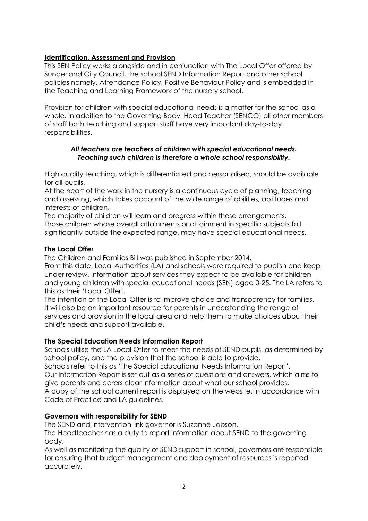## **Identification, Assessment and Provision**

This SEN Policy works alongside and in conjunction with The Local Offer offered by Sunderland City Council, the school SEND Information Report and other school policies namely, Attendance Policy, Positive Behaviour Policy and is embedded in the Teaching and Learning Framework of the nursery school.

Provision for children with special educational needs is a matter for the school as a whole. In addition to the Governing Body, Head Teacher (SENCO) all other members of staff both teaching and support staff have very important day-to-day responsibilities.

## *All teachers are teachers of children with special educational needs. Teaching such children is therefore a whole school responsibility.*

High quality teaching, which is differentiated and personalised, should be available for all pupils.

At the heart of the work in the nursery is a continuous cycle of planning, teaching and assessing, which takes account of the wide range of abilities, aptitudes and interests of children.

The majority of children will learn and progress within these arrangements. Those children whose overall attainments or attainment in specific subjects fall significantly outside the expected range, may have special educational needs.

## **The Local Offer**

The Children and Families Bill was published in September 2014.

From this date, Local Authorities (LA) and schools were required to publish and keep under review, information about services they expect to be available for children and young children with special educational needs (SEN) aged 0-25. The LA refers to this as their 'Local Offer'.

The intention of the Local Offer is to improve choice and transparency for families. It will also be an important resource for parents in understanding the range of services and provision in the local area and help them to make choices about their child's needs and support available.

## **The Special Education Needs Information Report**

Schools utilise the LA Local Offer to meet the needs of SEND pupils, as determined by school policy, and the provision that the school is able to provide.

Schools refer to this as 'The Special Educational Needs Information Report'. Our Information Report is set out as a series of questions and answers, which aims to give parents and carers clear information about what our school provides. A copy of the school current report is displayed on the website, in accordance with Code of Practice and LA guidelines.

## **Governors with responsibility for SEND**

The SEND and Intervention link governor is Suzanne Jobson.

The Headteacher has a duty to report information about SEND to the governing body.

As well as monitoring the quality of SEND support in school, governors are responsible for ensuring that budget management and deployment of resources is reported accurately.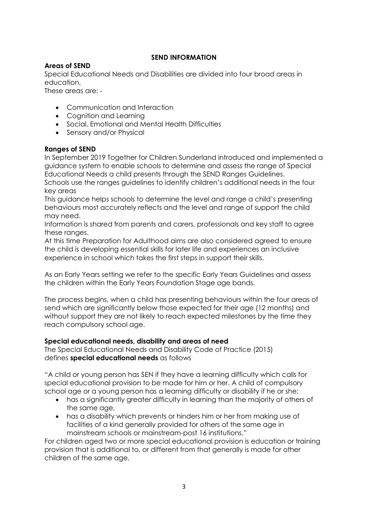## **SEND INFORMATION**

## **Areas of SEND**

Special Educational Needs and Disabilities are divided into four broad areas in education.

These areas are: -

- Communication and Interaction
- Cognition and Learning
- Social, Emotional and Mental Health Difficulties
- Sensory and/or Physical

## **Ranges of SEND**

In September 2019 Together for Children Sunderland introduced and implemented a guidance system to enable schools to determine and assess the range of Special Educational Needs a child presents through the SEND Ranges Guidelines. Schools use the ranges guidelines to identify children's additional needs in the four key areas

This guidance helps schools to determine the level and range a child's presenting behaviours most accurately reflects and the level and range of support the child may need.

Information is shared from parents and carers, professionals and key staff to agree these ranges.

At this time Preparation for Adulthood aims are also considered agreed to ensure the child is developing essential skills for later life and experiences an inclusive experience in school which takes the first steps in support their skills.

As an Early Years setting we refer to the specific Early Years Guidelines and assess the children within the Early Years Foundation Stage age bands.

The process begins, when a child has presenting behaviours within the four areas of send which are significantly below those expected for their age (12 months) and without support they are not likely to reach expected milestones by the time they reach compulsory school age.

# **Special educational needs, disability and areas of need**

The Special Educational Needs and Disability Code of Practice (2015) defines **special educational needs** as follows

"A child or young person has SEN if they have a learning difficulty which calls for special educational provision to be made for him or her. A child of compulsory school age or a young person has a learning difficulty or disability if he or she:

- has a significantly greater difficulty in learning than the majority of others of the same age,
- has a disability which prevents or hinders him or her from making use of facilities of a kind generally provided for others of the same age in mainstream schools or mainstream-post 16 institutions."

For children aged two or more special educational provision is education or training provision that is additional to, or different from that generally is made for other children of the same age.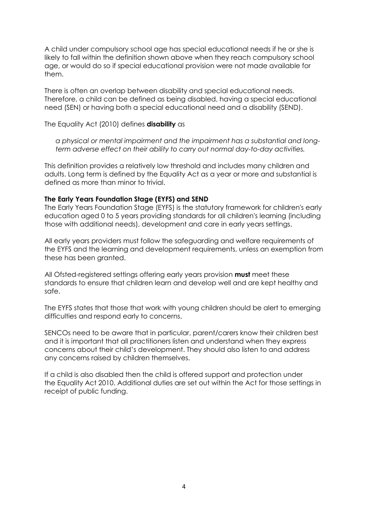A child under compulsory school age has special educational needs if he or she is likely to fall within the definition shown above when they reach compulsory school age, or would do so if special educational provision were not made available for them.

There is often an overlap between disability and special educational needs. Therefore, a child can be defined as being disabled, having a special educational need (SEN) or having both a special educational need and a disability (SEND).

The Equality Act (2010) defines **disability** as

*a physical or mental impairment and the impairment has a substantial and longterm adverse effect on their ability to carry out normal day-to-day activities.*

This definition provides a relatively low threshold and includes many children and adults. Long term is defined by the Equality Act as a year or more and substantial is defined as more than minor to trivial.

## **The Early Years Foundation Stage (EYFS) and SEND**

The Early Years Foundation Stage (EYFS) is the statutory framework for children's early education aged 0 to 5 years providing standards for all children's learning (including those with additional needs), development and care in early years settings.

All early years providers must follow the safeguarding and welfare requirements of the EYFS and the learning and development requirements, unless an exemption from these has been granted.

All Ofsted-registered settings offering early years provision **must** meet these standards to ensure that children learn and develop well and are kept healthy and safe.

The EYFS states that those that work with young children should be alert to emerging difficulties and respond early to concerns.

SENCOs need to be aware that in particular, parent/carers know their children best and it is important that all practitioners listen and understand when they express concerns about their child's development. They should also listen to and address any concerns raised by children themselves.

If a child is also disabled then the child is offered support and protection under the [Equality Act 2010.](https://www.gov.uk/guidance/equality-act-2010-guidance#history) Additional duties are set out within the Act for those settings in receipt of public funding.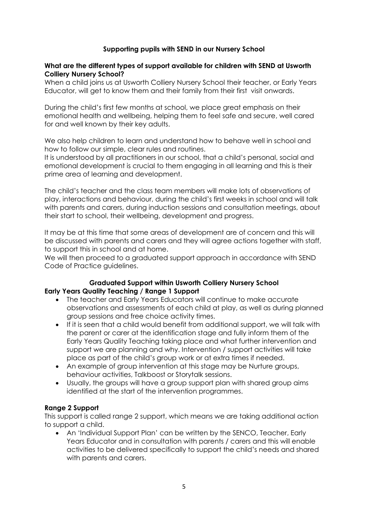## **Supporting pupils with SEND in our Nursery School**

#### **What are the different types of support available for children with SEND at Usworth Colliery Nursery School?**

When a child joins us at Usworth Colliery Nursery School their teacher, or Early Years Educator, will get to know them and their family from their first visit onwards.

During the child's first few months at school, we place great emphasis on their emotional health and wellbeing, helping them to feel safe and secure, well cared for and well known by their key adults.

We also help children to learn and understand how to behave well in school and how to follow our simple, clear rules and routines.

It is understood by all practitioners in our school, that a child's personal, social and emotional development is crucial to them engaging in all learning and this is their prime area of learning and development.

The child's teacher and the class team members will make lots of observations of play, interactions and behaviour, during the child's first weeks in school and will talk with parents and carers, during induction sessions and consultation meetings, about their start to school, their wellbeing, development and progress.

It may be at this time that some areas of development are of concern and this will be discussed with parents and carers and they will agree actions together with staff, to support this in school and at home.

We will then proceed to a graduated support approach in accordance with SEND Code of Practice guidelines.

#### **Graduated Support within Usworth Colliery Nursery School Early Years Quality Teaching / Range 1 Support**

- The teacher and Early Years Educators will continue to make accurate observations and assessments of each child at play, as well as during planned group sessions and free choice activity times.
- If it is seen that a child would benefit from additional support, we will talk with the parent or carer at the identification stage and fully inform them of the Early Years Quality Teaching taking place and what further intervention and support we are planning and why. Intervention / support activities will take place as part of the child's group work or at extra times if needed.
- An example of group intervention at this stage may be Nurture groups, behaviour activities, Talkboost or Storytalk sessions.
- Usually, the groups will have a group support plan with shared group aims identified at the start of the intervention programmes.

## **Range 2 Support**

This support is called range 2 support, which means we are taking additional action to support a child.

 An 'Individual Support Plan' can be written by the SENCO, Teacher, Early Years Educator and in consultation with parents / carers and this will enable activities to be delivered specifically to support the child's needs and shared with parents and carers.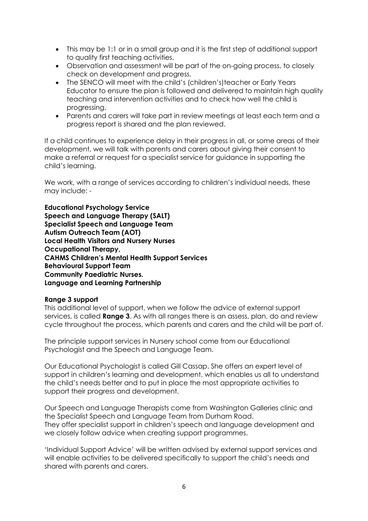- This may be 1:1 or in a small group and it is the first step of additional support to quality first teaching activities.
- Observation and assessment will be part of the on-going process, to closely check on development and progress.
- The SENCO will meet with the child's (children's)teacher or Early Years Educator to ensure the plan is followed and delivered to maintain high quality teaching and intervention activities and to check how well the child is progressing.
- Parents and carers will take part in review meetings at least each term and a progress report is shared and the plan reviewed.

If a child continues to experience delay in their progress in all, or some areas of their development, we will talk with parents and carers about giving their consent to make a referral or request for a specialist service for guidance in supporting the child's learning.

We work, with a range of services according to children's individual needs, these may include: -

**Educational Psychology Service Speech and Language Therapy (SALT) Specialist Speech and Language Team Autism Outreach Team (AOT) Local Health Visitors and Nursery Nurses Occupational Therapy, CAHMS Children's Mental Health Support Services Behavioural Support Team Community Paediatric Nurses. Language and Learning Partnership**

#### **Range 3 support**

This additional level of support, when we follow the advice of external support services, is called **Range 3**. As with all ranges there is an assess, plan, do and review cycle throughout the process, which parents and carers and the child will be part of.

The principle support services in Nursery school come from our Educational Psychologist and the Speech and Language Team.

Our Educational Psychologist is called Gill Cassap. She offers an expert level of support in children's learning and development, which enables us all to understand the child's needs better and to put in place the most appropriate activities to support their progress and development.

Our Speech and Language Therapists come from Washington Galleries clinic and the Specialist Speech and Language Team from Durham Road. They offer specialist support in children's speech and language development and we closely follow advice when creating support programmes.

'Individual Support Advice' will be written advised by external support services and will enable activities to be delivered specifically to support the child's needs and shared with parents and carers.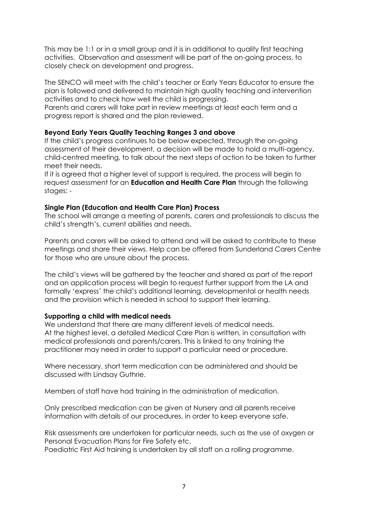This may be 1:1 or in a small group and it is in additional to quality first teaching activities. Observation and assessment will be part of the on-going process, to closely check on development and progress.

The SENCO will meet with the child's teacher or Early Years Educator to ensure the plan is followed and delivered to maintain high quality teaching and intervention activities and to check how well the child is progressing.

Parents and carers will take part in review meetings at least each term and a progress report is shared and the plan reviewed.

### **Beyond Early Years Quality Teaching Ranges 3 and above**

If the child's progress continues to be below expected, through the on-going assessment of their development, a decision will be made to hold a multi-agency, child-centred meeting, to talk about the next steps of action to be taken to further meet their needs.

If it is agreed that a higher level of support is required, the process will begin to request assessment for an **Education and Health Care Plan** through the following stages: -

### **Single Plan (Education and Health Care Plan) Process**

The school will arrange a meeting of parents, carers and professionals to discuss the child's strength's, current abilities and needs.

Parents and carers will be asked to attend and will be asked to contribute to these meetings and share their views. Help can be offered from Sunderland Carers Centre for those who are unsure about the process.

The child's views will be gathered by the teacher and shared as part of the report and an application process will begin to request further support from the LA and formally 'express' the child's additional learning, developmental or health needs and the provision which is needed in school to support their learning.

#### **Supporting a child with medical needs**

We understand that there are many different levels of medical needs. At the highest level, a detailed Medical Care Plan is written, in consultation with medical professionals and parents/carers. This is linked to any training the practitioner may need in order to support a particular need or procedure.

Where necessary, short term medication can be administered and should be discussed with Lindsay Guthrie.

Members of staff have had training in the administration of medication.

Only prescribed medication can be given at Nursery and all parents receive information with details of our procedures, in order to keep everyone safe.

Risk assessments are undertaken for particular needs, such as the use of oxygen or Personal Evacuation Plans for Fire Safety etc.

Paediatric First Aid training is undertaken by all staff on a rolling programme.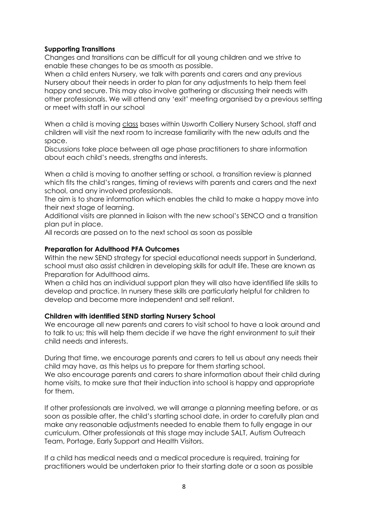### **Supporting Transitions**

Changes and transitions can be difficult for all young children and we strive to enable these changes to be as smooth as possible.

When a child enters Nursery, we talk with parents and carers and any previous Nursery about their needs in order to plan for any adjustments to help them feel happy and secure. This may also involve gathering or discussing their needs with other professionals. We will attend any 'exit' meeting organised by a previous setting or meet with staff in our school

When a child is moving class bases within Usworth Colliery Nursery School, staff and children will visit the next room to increase familiarity with the new adults and the space.

Discussions take place between all age phase practitioners to share information about each child's needs, strengths and interests.

When a child is moving to another setting or school, a transition review is planned which fits the child's ranges, timing of reviews with parents and carers and the next school, and any involved professionals.

The aim is to share information which enables the child to make a happy move into their next stage of learning.

Additional visits are planned in liaison with the new school's SENCO and a transition plan put in place.

All records are passed on to the next school as soon as possible

#### **Preparation for Adulthood PFA Outcomes**

Within the new SEND strategy for special educational needs support in Sunderland, school must also assist children in developing skills for adult life. These are known as Preparation for Adulthood aims.

When a child has an individual support plan they will also have identified life skills to develop and practice. In nursery these skills are particularly helpful for children to develop and become more independent and self reliant.

## **Children with identified SEND starting Nursery School**

We encourage all new parents and carers to visit school to have a look around and to talk to us; this will help them decide if we have the right environment to suit their child needs and interests.

During that time, we encourage parents and carers to tell us about any needs their child may have, as this helps us to prepare for them starting school.

We also encourage parents and carers to share information about their child during home visits, to make sure that their induction into school is happy and appropriate for them.

If other professionals are involved, we will arrange a planning meeting before, or as soon as possible after, the child's starting school date, in order to carefully plan and make any reasonable adjustments needed to enable them to fully engage in our curriculum. Other professionals at this stage may include SALT, Autism Outreach Team, Portage, Early Support and Health Visitors.

If a child has medical needs and a medical procedure is required, training for practitioners would be undertaken prior to their starting date or a soon as possible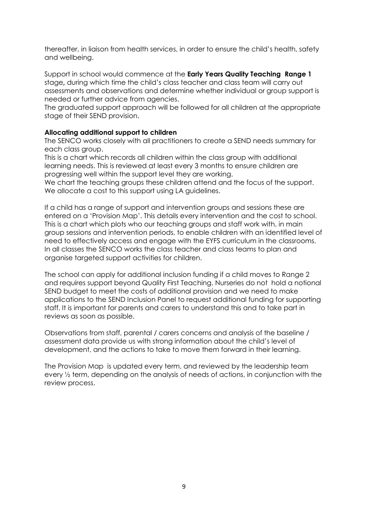thereafter, in liaison from health services, in order to ensure the child's health, safety and wellbeing.

Support in school would commence at the **Early Years Quality Teaching Range 1**  stage**,** during which time the child's class teacher and class team will carry out assessments and observations and determine whether individual or group support is needed or further advice from agencies.

The graduated support approach will be followed for all children at the appropriate stage of their SEND provision.

## **Allocating additional support to children**

The SENCO works closely with all practitioners to create a SEND needs summary for each class group.

This is a chart which records all children within the class group with additional learning needs. This is reviewed at least every 3 months to ensure children are progressing well within the support level they are working.

We chart the teaching groups these children attend and the focus of the support. We allocate a cost to this support using LA guidelines.

If a child has a range of support and intervention groups and sessions these are entered on a 'Provision Map'. This details every intervention and the cost to school. This is a chart which plots who our teaching groups and staff work with, in main group sessions and intervention periods, to enable children with an identified level of need to effectively access and engage with the EYFS curriculum in the classrooms. In all classes the SENCO works the class teacher and class teams to plan and organise targeted support activities for children.

The school can apply for additional inclusion funding if a child moves to Range 2 and requires support beyond Quality First Teaching. Nurseries do not hold a notional SEND budget to meet the costs of additional provision and we need to make applications to the SEND Inclusion Panel to request additional funding for supporting staff. It is important for parents and carers to understand this and to take part in reviews as soon as possible.

Observations from staff, parental / carers concerns and analysis of the baseline / assessment data provide us with strong information about the child's level of development, and the actions to take to move them forward in their learning.

The Provision Map is updated every term, and reviewed by the leadership team every ½ term, depending on the analysis of needs of actions, in conjunction with the review process.